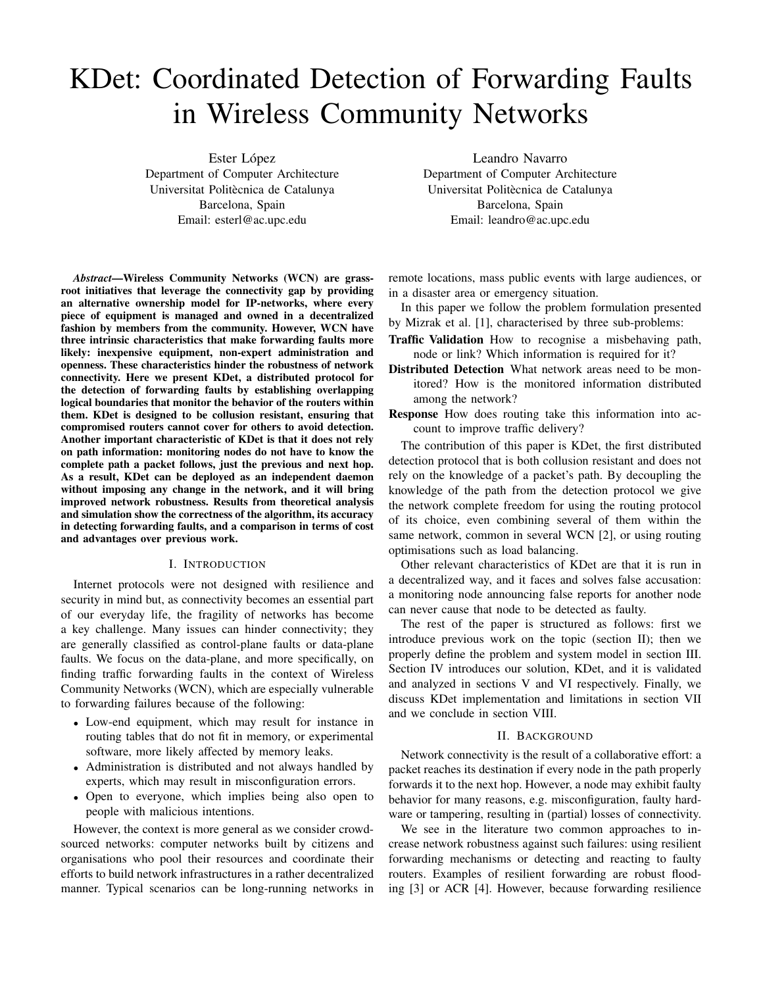# KDet: Coordinated Detection of Forwarding Faults in Wireless Community Networks

Ester López Department of Computer Architecture Universitat Politècnica de Catalunya Barcelona, Spain Email: esterl@ac.upc.edu

Leandro Navarro Department of Computer Architecture Universitat Politècnica de Catalunya Barcelona, Spain Email: leandro@ac.upc.edu

*Abstract*—Wireless Community Networks (WCN) are grassroot initiatives that leverage the connectivity gap by providing an alternative ownership model for IP-networks, where every piece of equipment is managed and owned in a decentralized fashion by members from the community. However, WCN have three intrinsic characteristics that make forwarding faults more likely: inexpensive equipment, non-expert administration and openness. These characteristics hinder the robustness of network connectivity. Here we present KDet, a distributed protocol for the detection of forwarding faults by establishing overlapping logical boundaries that monitor the behavior of the routers within them. KDet is designed to be collusion resistant, ensuring that compromised routers cannot cover for others to avoid detection. Another important characteristic of KDet is that it does not rely on path information: monitoring nodes do not have to know the complete path a packet follows, just the previous and next hop. As a result, KDet can be deployed as an independent daemon without imposing any change in the network, and it will bring improved network robustness. Results from theoretical analysis and simulation show the correctness of the algorithm, its accuracy in detecting forwarding faults, and a comparison in terms of cost and advantages over previous work.

## I. INTRODUCTION

Internet protocols were not designed with resilience and security in mind but, as connectivity becomes an essential part of our everyday life, the fragility of networks has become a key challenge. Many issues can hinder connectivity; they are generally classified as control-plane faults or data-plane faults. We focus on the data-plane, and more specifically, on finding traffic forwarding faults in the context of Wireless Community Networks (WCN), which are especially vulnerable to forwarding failures because of the following:

- Low-end equipment, which may result for instance in routing tables that do not fit in memory, or experimental software, more likely affected by memory leaks.
- Administration is distributed and not always handled by experts, which may result in misconfiguration errors.
- Open to everyone, which implies being also open to people with malicious intentions.

However, the context is more general as we consider crowdsourced networks: computer networks built by citizens and organisations who pool their resources and coordinate their efforts to build network infrastructures in a rather decentralized manner. Typical scenarios can be long-running networks in

remote locations, mass public events with large audiences, or in a disaster area or emergency situation.

In this paper we follow the problem formulation presented by Mizrak et al. [\[1\]](#page-7-0), characterised by three sub-problems:

- Traffic Validation How to recognise a misbehaving path, node or link? Which information is required for it?
- Distributed Detection What network areas need to be monitored? How is the monitored information distributed among the network?
- Response How does routing take this information into account to improve traffic delivery?

The contribution of this paper is KDet, the first distributed detection protocol that is both collusion resistant and does not rely on the knowledge of a packet's path. By decoupling the knowledge of the path from the detection protocol we give the network complete freedom for using the routing protocol of its choice, even combining several of them within the same network, common in several WCN [\[2\]](#page-7-1), or using routing optimisations such as load balancing.

Other relevant characteristics of KDet are that it is run in a decentralized way, and it faces and solves false accusation: a monitoring node announcing false reports for another node can never cause that node to be detected as faulty.

The rest of the paper is structured as follows: first we introduce previous work on the topic (section [II\)](#page-0-0); then we properly define the problem and system model in section [III.](#page-1-0) Section [IV](#page-3-0) introduces our solution, KDet, and it is validated and analyzed in sections [V](#page-4-0) and [VI](#page-5-0) respectively. Finally, we discuss KDet implementation and limitations in section [VII](#page-6-0) and we conclude in section [VIII.](#page-7-2)

#### II. BACKGROUND

<span id="page-0-0"></span>Network connectivity is the result of a collaborative effort: a packet reaches its destination if every node in the path properly forwards it to the next hop. However, a node may exhibit faulty behavior for many reasons, e.g. misconfiguration, faulty hardware or tampering, resulting in (partial) losses of connectivity.

We see in the literature two common approaches to increase network robustness against such failures: using resilient forwarding mechanisms or detecting and reacting to faulty routers. Examples of resilient forwarding are robust flooding [\[3\]](#page-7-3) or ACR [\[4\]](#page-7-4). However, because forwarding resilience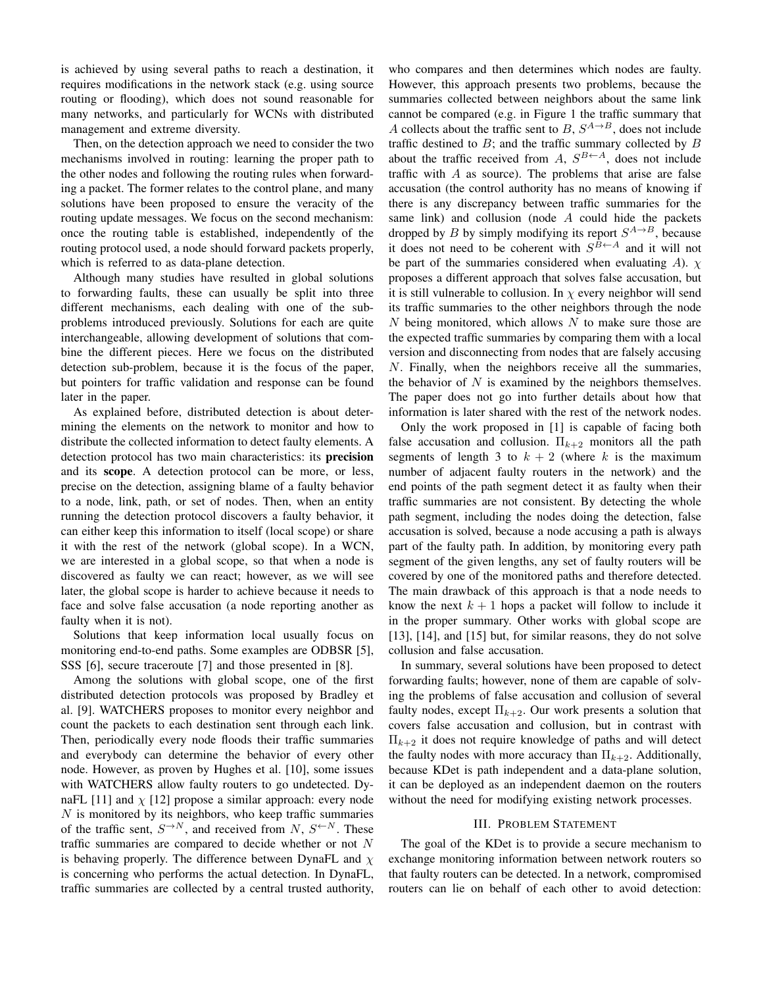is achieved by using several paths to reach a destination, it requires modifications in the network stack (e.g. using source routing or flooding), which does not sound reasonable for many networks, and particularly for WCNs with distributed management and extreme diversity.

Then, on the detection approach we need to consider the two mechanisms involved in routing: learning the proper path to the other nodes and following the routing rules when forwarding a packet. The former relates to the control plane, and many solutions have been proposed to ensure the veracity of the routing update messages. We focus on the second mechanism: once the routing table is established, independently of the routing protocol used, a node should forward packets properly, which is referred to as data-plane detection.

Although many studies have resulted in global solutions to forwarding faults, these can usually be split into three different mechanisms, each dealing with one of the subproblems introduced previously. Solutions for each are quite interchangeable, allowing development of solutions that combine the different pieces. Here we focus on the distributed detection sub-problem, because it is the focus of the paper, but pointers for traffic validation and response can be found later in the paper.

As explained before, distributed detection is about determining the elements on the network to monitor and how to distribute the collected information to detect faulty elements. A detection protocol has two main characteristics: its precision and its scope. A detection protocol can be more, or less, precise on the detection, assigning blame of a faulty behavior to a node, link, path, or set of nodes. Then, when an entity running the detection protocol discovers a faulty behavior, it can either keep this information to itself (local scope) or share it with the rest of the network (global scope). In a WCN, we are interested in a global scope, so that when a node is discovered as faulty we can react; however, as we will see later, the global scope is harder to achieve because it needs to face and solve false accusation (a node reporting another as faulty when it is not).

Solutions that keep information local usually focus on monitoring end-to-end paths. Some examples are ODBSR [\[5\]](#page-7-5), SSS [\[6\]](#page-7-6), secure traceroute [\[7\]](#page-7-7) and those presented in [\[8\]](#page-7-8).

Among the solutions with global scope, one of the first distributed detection protocols was proposed by Bradley et al. [\[9\]](#page-7-9). WATCHERS proposes to monitor every neighbor and count the packets to each destination sent through each link. Then, periodically every node floods their traffic summaries and everybody can determine the behavior of every other node. However, as proven by Hughes et al. [\[10\]](#page-7-10), some issues with WATCHERS allow faulty routers to go undetected. Dy-naFL [\[11\]](#page-7-11) and  $\chi$  [\[12\]](#page-7-12) propose a similar approach: every node  $N$  is monitored by its neighbors, who keep traffic summaries of the traffic sent,  $S^{\rightarrow N}$ , and received from N,  $S^{\leftarrow N}$ . These traffic summaries are compared to decide whether or not  $N$ is behaving properly. The difference between DynaFL and  $\chi$ is concerning who performs the actual detection. In DynaFL, traffic summaries are collected by a central trusted authority,

who compares and then determines which nodes are faulty. However, this approach presents two problems, because the summaries collected between neighbors about the same link cannot be compared (e.g. in Figure [1](#page-2-0) the traffic summary that A collects about the traffic sent to B,  $S^{A\rightarrow B}$ , does not include traffic destined to  $B$ ; and the traffic summary collected by  $B$ about the traffic received from A,  $S^{B\leftarrow A}$ , does not include traffic with A as source). The problems that arise are false accusation (the control authority has no means of knowing if there is any discrepancy between traffic summaries for the same link) and collusion (node  $A$  could hide the packets dropped by B by simply modifying its report  $S^{A\rightarrow B}$ , because it does not need to be coherent with  $S^{B\leftarrow A}$  and it will not be part of the summaries considered when evaluating A).  $\chi$ proposes a different approach that solves false accusation, but it is still vulnerable to collusion. In  $\chi$  every neighbor will send its traffic summaries to the other neighbors through the node  $N$  being monitored, which allows  $N$  to make sure those are the expected traffic summaries by comparing them with a local version and disconnecting from nodes that are falsely accusing N. Finally, when the neighbors receive all the summaries, the behavior of  $N$  is examined by the neighbors themselves. The paper does not go into further details about how that information is later shared with the rest of the network nodes.

Only the work proposed in [\[1\]](#page-7-0) is capable of facing both false accusation and collusion.  $\Pi_{k+2}$  monitors all the path segments of length 3 to  $k + 2$  (where k is the maximum number of adjacent faulty routers in the network) and the end points of the path segment detect it as faulty when their traffic summaries are not consistent. By detecting the whole path segment, including the nodes doing the detection, false accusation is solved, because a node accusing a path is always part of the faulty path. In addition, by monitoring every path segment of the given lengths, any set of faulty routers will be covered by one of the monitored paths and therefore detected. The main drawback of this approach is that a node needs to know the next  $k + 1$  hops a packet will follow to include it in the proper summary. Other works with global scope are [\[13\]](#page-7-13), [\[14\]](#page-7-14), and [\[15\]](#page-7-15) but, for similar reasons, they do not solve collusion and false accusation.

In summary, several solutions have been proposed to detect forwarding faults; however, none of them are capable of solving the problems of false accusation and collusion of several faulty nodes, except  $\Pi_{k+2}$ . Our work presents a solution that covers false accusation and collusion, but in contrast with  $\Pi_{k+2}$  it does not require knowledge of paths and will detect the faulty nodes with more accuracy than  $\Pi_{k+2}$ . Additionally, because KDet is path independent and a data-plane solution, it can be deployed as an independent daemon on the routers without the need for modifying existing network processes.

## III. PROBLEM STATEMENT

<span id="page-1-0"></span>The goal of the KDet is to provide a secure mechanism to exchange monitoring information between network routers so that faulty routers can be detected. In a network, compromised routers can lie on behalf of each other to avoid detection: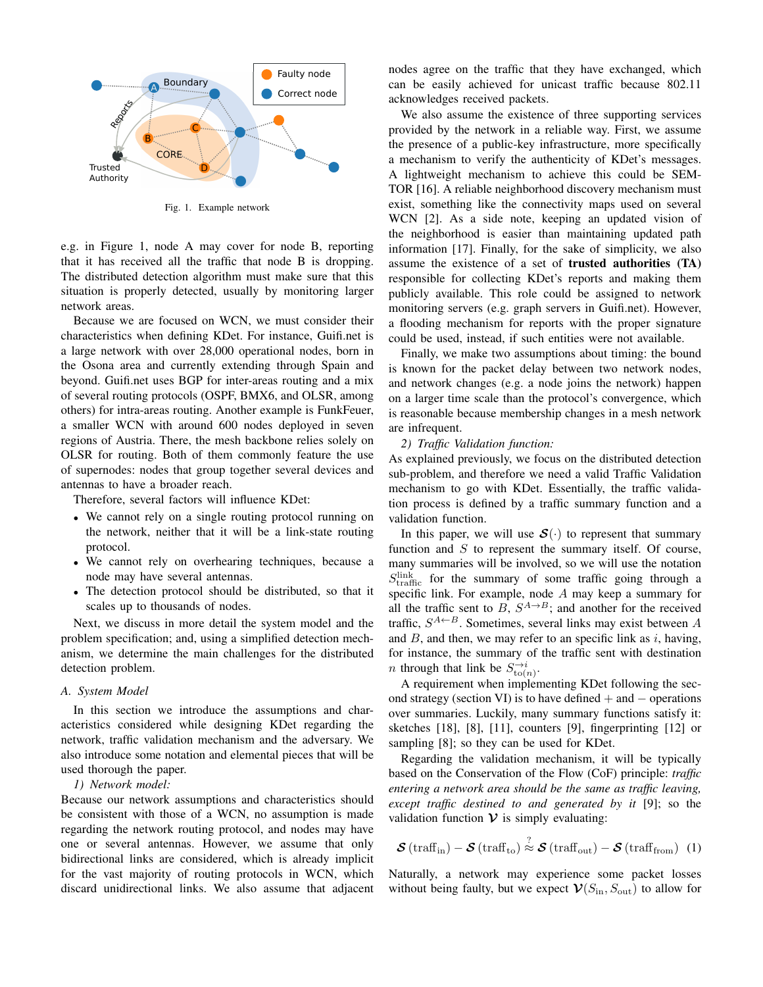

<span id="page-2-0"></span>Fig. 1. Example network

e.g. in Figure [1,](#page-2-0) node A may cover for node B, reporting that it has received all the traffic that node B is dropping. The distributed detection algorithm must make sure that this situation is properly detected, usually by monitoring larger network areas.

Because we are focused on WCN, we must consider their characteristics when defining KDet. For instance, Guifi.net is a large network with over 28,000 operational nodes, born in the Osona area and currently extending through Spain and beyond. Guifi.net uses BGP for inter-areas routing and a mix of several routing protocols (OSPF, BMX6, and OLSR, among others) for intra-areas routing. Another example is FunkFeuer, a smaller WCN with around 600 nodes deployed in seven regions of Austria. There, the mesh backbone relies solely on OLSR for routing. Both of them commonly feature the use of supernodes: nodes that group together several devices and antennas to have a broader reach.

Therefore, several factors will influence KDet:

- We cannot rely on a single routing protocol running on the network, neither that it will be a link-state routing protocol.
- We cannot rely on overhearing techniques, because a node may have several antennas.
- The detection protocol should be distributed, so that it scales up to thousands of nodes.

Next, we discuss in more detail the system model and the problem specification; and, using a simplified detection mechanism, we determine the main challenges for the distributed detection problem.

# *A. System Model*

In this section we introduce the assumptions and characteristics considered while designing KDet regarding the network, traffic validation mechanism and the adversary. We also introduce some notation and elemental pieces that will be used thorough the paper.

### *1) Network model:*

Because our network assumptions and characteristics should be consistent with those of a WCN, no assumption is made regarding the network routing protocol, and nodes may have one or several antennas. However, we assume that only bidirectional links are considered, which is already implicit for the vast majority of routing protocols in WCN, which discard unidirectional links. We also assume that adjacent nodes agree on the traffic that they have exchanged, which can be easily achieved for unicast traffic because 802.11 acknowledges received packets.

We also assume the existence of three supporting services provided by the network in a reliable way. First, we assume the presence of a public-key infrastructure, more specifically a mechanism to verify the authenticity of KDet's messages. A lightweight mechanism to achieve this could be SEM-TOR [\[16\]](#page-7-16). A reliable neighborhood discovery mechanism must exist, something like the connectivity maps used on several WCN [\[2\]](#page-7-1). As a side note, keeping an updated vision of the neighborhood is easier than maintaining updated path information [\[17\]](#page-7-17). Finally, for the sake of simplicity, we also assume the existence of a set of trusted authorities (TA) responsible for collecting KDet's reports and making them publicly available. This role could be assigned to network monitoring servers (e.g. graph servers in Guifi.net). However, a flooding mechanism for reports with the proper signature could be used, instead, if such entities were not available.

Finally, we make two assumptions about timing: the bound is known for the packet delay between two network nodes, and network changes (e.g. a node joins the network) happen on a larger time scale than the protocol's convergence, which is reasonable because membership changes in a mesh network are infrequent.

### *2) Traffic Validation function:*

As explained previously, we focus on the distributed detection sub-problem, and therefore we need a valid Traffic Validation mechanism to go with KDet. Essentially, the traffic validation process is defined by a traffic summary function and a validation function.

In this paper, we will use  $S(\cdot)$  to represent that summary function and  $S$  to represent the summary itself. Of course, many summaries will be involved, so we will use the notation  $S_{\text{traffic}}^{\text{link}}$  for the summary of some traffic going through a specific link. For example, node A may keep a summary for all the traffic sent to B,  $S^{A\rightarrow B}$ ; and another for the received traffic,  $S^{A \leftarrow B}$ . Sometimes, several links may exist between A and  $B$ , and then, we may refer to an specific link as  $i$ , having, for instance, the summary of the traffic sent with destination *n* through that link be  $S_{\text{to}(n)}^{\rightarrow i}$ .

A requirement when implementing KDet following the second strategy (section [VI\)](#page-5-0) is to have defined + and − operations over summaries. Luckily, many summary functions satisfy it: sketches [\[18\]](#page-7-18), [\[8\]](#page-7-8), [\[11\]](#page-7-11), counters [\[9\]](#page-7-9), fingerprinting [\[12\]](#page-7-12) or sampling [\[8\]](#page-7-8); so they can be used for KDet.

Regarding the validation mechanism, it will be typically based on the Conservation of the Flow (CoF) principle: *traffic entering a network area should be the same as traffic leaving, except traffic destined to and generated by it* [\[9\]](#page-7-9); so the validation function  $\nu$  is simply evaluating:

$$
\boldsymbol{\mathcal{S}}\left(\mathrm{traff}_{\mathrm{in}}\right) - \boldsymbol{\mathcal{S}}\left(\mathrm{traff}_{\mathrm{to}}\right) \stackrel{?}{\approx} \boldsymbol{\mathcal{S}}\left(\mathrm{traff}_{\mathrm{out}}\right) - \boldsymbol{\mathcal{S}}\left(\mathrm{traff}_{\mathrm{from}}\right) \tag{1}
$$

Naturally, a network may experience some packet losses without being faulty, but we expect  $\mathcal{V}(S_{\text{in}}, S_{\text{out}})$  to allow for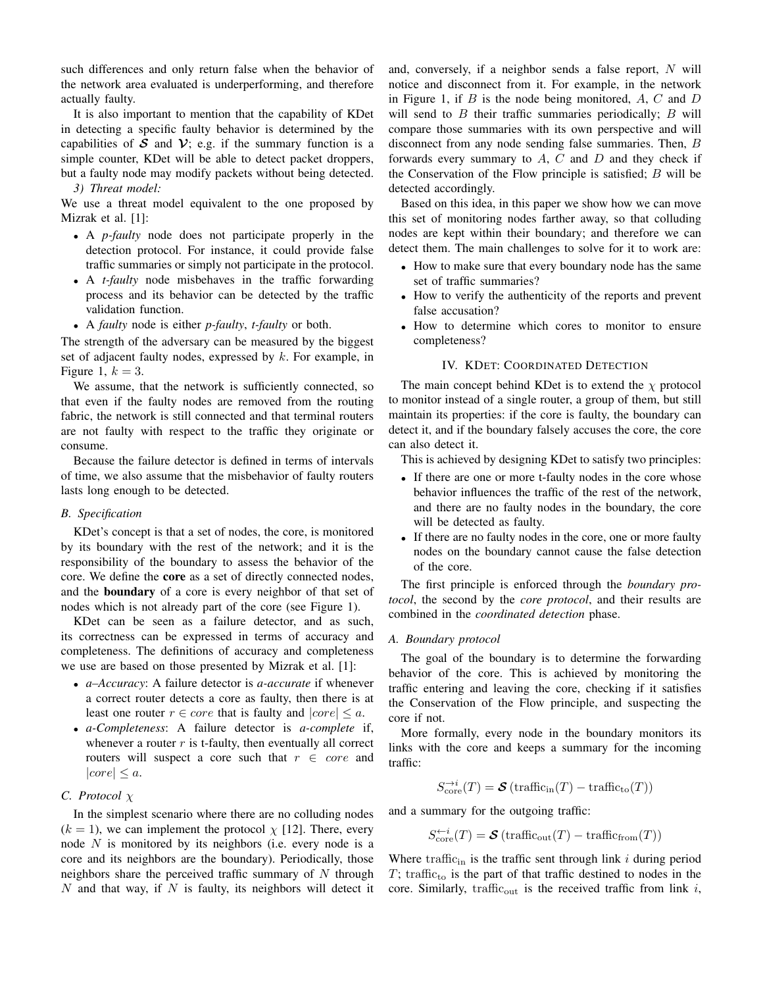such differences and only return false when the behavior of the network area evaluated is underperforming, and therefore actually faulty.

It is also important to mention that the capability of KDet in detecting a specific faulty behavior is determined by the capabilities of  $S$  and  $V$ ; e.g. if the summary function is a simple counter, KDet will be able to detect packet droppers, but a faulty node may modify packets without being detected. *3) Threat model:*

We use a threat model equivalent to the one proposed by Mizrak et al. [\[1\]](#page-7-0):

- A *p-faulty* node does not participate properly in the detection protocol. For instance, it could provide false traffic summaries or simply not participate in the protocol.
- A *t-faulty* node misbehaves in the traffic forwarding process and its behavior can be detected by the traffic validation function.
- A *faulty* node is either *p-faulty*, *t-faulty* or both.

The strength of the adversary can be measured by the biggest set of adjacent faulty nodes, expressed by  $k$ . For example, in Figure [1,](#page-2-0)  $k = 3$ .

We assume, that the network is sufficiently connected, so that even if the faulty nodes are removed from the routing fabric, the network is still connected and that terminal routers are not faulty with respect to the traffic they originate or consume.

Because the failure detector is defined in terms of intervals of time, we also assume that the misbehavior of faulty routers lasts long enough to be detected.

# *B. Specification*

KDet's concept is that a set of nodes, the core, is monitored by its boundary with the rest of the network; and it is the responsibility of the boundary to assess the behavior of the core. We define the core as a set of directly connected nodes, and the boundary of a core is every neighbor of that set of nodes which is not already part of the core (see Figure [1\)](#page-2-0).

KDet can be seen as a failure detector, and as such, its correctness can be expressed in terms of accuracy and completeness. The definitions of accuracy and completeness we use are based on those presented by Mizrak et al. [\[1\]](#page-7-0):

- *a–Accuracy*: A failure detector is *a-accurate* if whenever a correct router detects a core as faulty, then there is at least one router  $r \in core$  that is faulty and  $|core| \le a$ .
- *a-Completeness*: A failure detector is *a-complete* if, whenever a router  $r$  is t-faulty, then eventually all correct routers will suspect a core such that  $r \in core$  and  $|core| \leq a.$

# *C. Protocol* χ

In the simplest scenario where there are no colluding nodes  $(k = 1)$ , we can implement the protocol  $\chi$  [\[12\]](#page-7-12). There, every node  $N$  is monitored by its neighbors (i.e. every node is a core and its neighbors are the boundary). Periodically, those neighbors share the perceived traffic summary of  $N$  through  $N$  and that way, if  $N$  is faulty, its neighbors will detect it

and, conversely, if a neighbor sends a false report, N will notice and disconnect from it. For example, in the network in Figure [1,](#page-2-0) if  $B$  is the node being monitored,  $A, C$  and  $D$ will send to  $B$  their traffic summaries periodically;  $B$  will compare those summaries with its own perspective and will disconnect from any node sending false summaries. Then, B forwards every summary to  $A$ ,  $C$  and  $D$  and they check if the Conservation of the Flow principle is satisfied;  $B$  will be detected accordingly.

Based on this idea, in this paper we show how we can move this set of monitoring nodes farther away, so that colluding nodes are kept within their boundary; and therefore we can detect them. The main challenges to solve for it to work are:

- How to make sure that every boundary node has the same set of traffic summaries?
- How to verify the authenticity of the reports and prevent false accusation?
- How to determine which cores to monitor to ensure completeness?

## IV. KDET: COORDINATED DETECTION

<span id="page-3-0"></span>The main concept behind KDet is to extend the  $\chi$  protocol to monitor instead of a single router, a group of them, but still maintain its properties: if the core is faulty, the boundary can detect it, and if the boundary falsely accuses the core, the core can also detect it.

This is achieved by designing KDet to satisfy two principles:

- If there are one or more t-faulty nodes in the core whose behavior influences the traffic of the rest of the network, and there are no faulty nodes in the boundary, the core will be detected as faulty.
- If there are no faulty nodes in the core, one or more faulty nodes on the boundary cannot cause the false detection of the core.

The first principle is enforced through the *boundary protocol*, the second by the *core protocol*, and their results are combined in the *coordinated detection* phase.

#### *A. Boundary protocol*

The goal of the boundary is to determine the forwarding behavior of the core. This is achieved by monitoring the traffic entering and leaving the core, checking if it satisfies the Conservation of the Flow principle, and suspecting the core if not.

More formally, every node in the boundary monitors its links with the core and keeps a summary for the incoming traffic:

$$
S_{\rm core}^{\to i}(T) = \mathcal{S}\left(\text{traffic}_{\rm in}(T) - \text{traffic}_{\rm to}(T)\right)
$$

and a summary for the outgoing traffic:

$$
S_{\rm core}^{\leftarrow i}(T) = \mathcal{S}(\text{traffic}_{\text{out}}(T) - \text{traffic}_{\text{from}}(T))
$$

Where traffic<sub>in</sub> is the traffic sent through link  $i$  during period  $T$ ; traffic<sub>to</sub> is the part of that traffic destined to nodes in the core. Similarly, traffic<sub>out</sub> is the received traffic from link  $i$ ,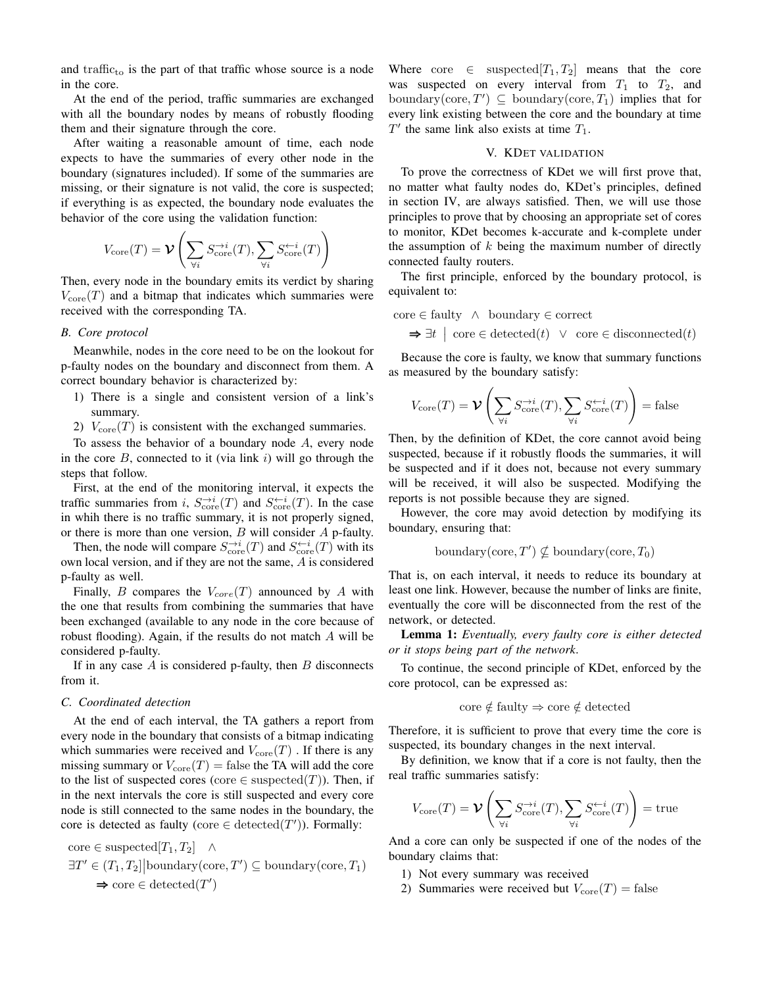and traffic<sub>to</sub> is the part of that traffic whose source is a node in the core.

At the end of the period, traffic summaries are exchanged with all the boundary nodes by means of robustly flooding them and their signature through the core.

After waiting a reasonable amount of time, each node expects to have the summaries of every other node in the boundary (signatures included). If some of the summaries are missing, or their signature is not valid, the core is suspected; if everything is as expected, the boundary node evaluates the behavior of the core using the validation function:

$$
V_{\text{core}}(T) = \mathbf{V} \left( \sum_{\forall i} S_{\text{core}}^{\rightarrow i}(T), \sum_{\forall i} S_{\text{core}}^{\leftarrow i}(T) \right)
$$

Then, every node in the boundary emits its verdict by sharing  $V_{\text{core}}(T)$  and a bitmap that indicates which summaries were received with the corresponding TA.

#### *B. Core protocol*

Meanwhile, nodes in the core need to be on the lookout for p-faulty nodes on the boundary and disconnect from them. A correct boundary behavior is characterized by:

- 1) There is a single and consistent version of a link's summary.
- 2)  $V_{\text{core}}(T)$  is consistent with the exchanged summaries.

To assess the behavior of a boundary node A, every node in the core  $B$ , connected to it (via link  $i$ ) will go through the steps that follow.

First, at the end of the monitoring interval, it expects the traffic summaries from i,  $S_{\text{core}}^{\to i}(T)$  and  $S_{\text{core}}^{\leftarrow i}(T)$ . In the case in whih there is no traffic summary, it is not properly signed, or there is more than one version,  $B$  will consider  $A$  p-faulty.

Then, the node will compare  $S_{\text{core}}^{\to i}(T)$  and  $S_{\text{core}}^{\leftarrow i}(T)$  with its own local version, and if they are not the same, A is considered p-faulty as well.

Finally, B compares the  $V_{core}(T)$  announced by A with the one that results from combining the summaries that have been exchanged (available to any node in the core because of robust flooding). Again, if the results do not match A will be considered p-faulty.

If in any case  $A$  is considered p-faulty, then  $B$  disconnects from it.

#### *C. Coordinated detection*

At the end of each interval, the TA gathers a report from every node in the boundary that consists of a bitmap indicating which summaries were received and  $V_{\text{core}}(T)$ . If there is any missing summary or  $V_{\text{core}}(T) =$  false the TA will add the core to the list of suspected cores (core  $\in$  suspected(T)). Then, if in the next intervals the core is still suspected and every core node is still connected to the same nodes in the boundary, the core is detected as faulty (core  $\in$  detected $(T')$ ). Formally:

$$
\begin{aligned}\n\text{core} \in \text{ suspected}[T_1, T_2] &\wedge \\
\exists T' \in (T_1, T_2] \mid \text{boundary}(\text{core}, T') \subseteq \text{boundary}(\text{core}, T_1) \\
&\Rightarrow \text{core} \in \text{detected}(T')\n\end{aligned}
$$

Where core  $\in$  suspected[ $T_1, T_2$ ] means that the core was suspected on every interval from  $T_1$  to  $T_2$ , and boundary(core,  $T'$ )  $\subseteq$  boundary(core,  $T_1$ ) implies that for every link existing between the core and the boundary at time  $T'$  the same link also exists at time  $T_1$ .

# V. KDET VALIDATION

<span id="page-4-0"></span>To prove the correctness of KDet we will first prove that, no matter what faulty nodes do, KDet's principles, defined in section [IV,](#page-3-0) are always satisfied. Then, we will use those principles to prove that by choosing an appropriate set of cores to monitor, KDet becomes k-accurate and k-complete under the assumption of  $k$  being the maximum number of directly connected faulty routers.

The first principle, enforced by the boundary protocol, is equivalent to:

$$
core \in faulty \ \wedge \ boundary \in correct
$$

 $\Rightarrow \exists t \mid \text{core} \in \text{detected}(t) \ \lor \ \text{core} \in \text{disconnected}(t)$ 

Because the core is faulty, we know that summary functions as measured by the boundary satisfy:

$$
V_{\text{core}}(T) = \mathcal{V}\left(\sum_{\forall i} S_{\text{core}}^{\rightarrow i}(T), \sum_{\forall i} S_{\text{core}}^{\leftarrow i}(T)\right) = \text{false}
$$

Then, by the definition of KDet, the core cannot avoid being suspected, because if it robustly floods the summaries, it will be suspected and if it does not, because not every summary will be received, it will also be suspected. Modifying the reports is not possible because they are signed.

However, the core may avoid detection by modifying its boundary, ensuring that:

boundary(
$$
core, T') \nsubseteq
$$
 boundary( $core, T_0$ )

That is, on each interval, it needs to reduce its boundary at least one link. However, because the number of links are finite, eventually the core will be disconnected from the rest of the network, or detected.

Lemma 1: *Eventually, every faulty core is either detected or it stops being part of the network*.

To continue, the second principle of KDet, enforced by the core protocol, can be expressed as:

$$
core \notin faulty \Rightarrow core \notin detected
$$

Therefore, it is sufficient to prove that every time the core is suspected, its boundary changes in the next interval.

By definition, we know that if a core is not faulty, then the real traffic summaries satisfy:

$$
V_{\text{core}}(T) = \mathcal{V}\left(\sum_{\forall i} S_{\text{core}}^{\rightarrow i}(T), \sum_{\forall i} S_{\text{core}}^{\leftarrow i}(T)\right) = \text{true}
$$

And a core can only be suspected if one of the nodes of the boundary claims that:

- 1) Not every summary was received
- 2) Summaries were received but  $V_{\text{core}}(T) = \text{false}$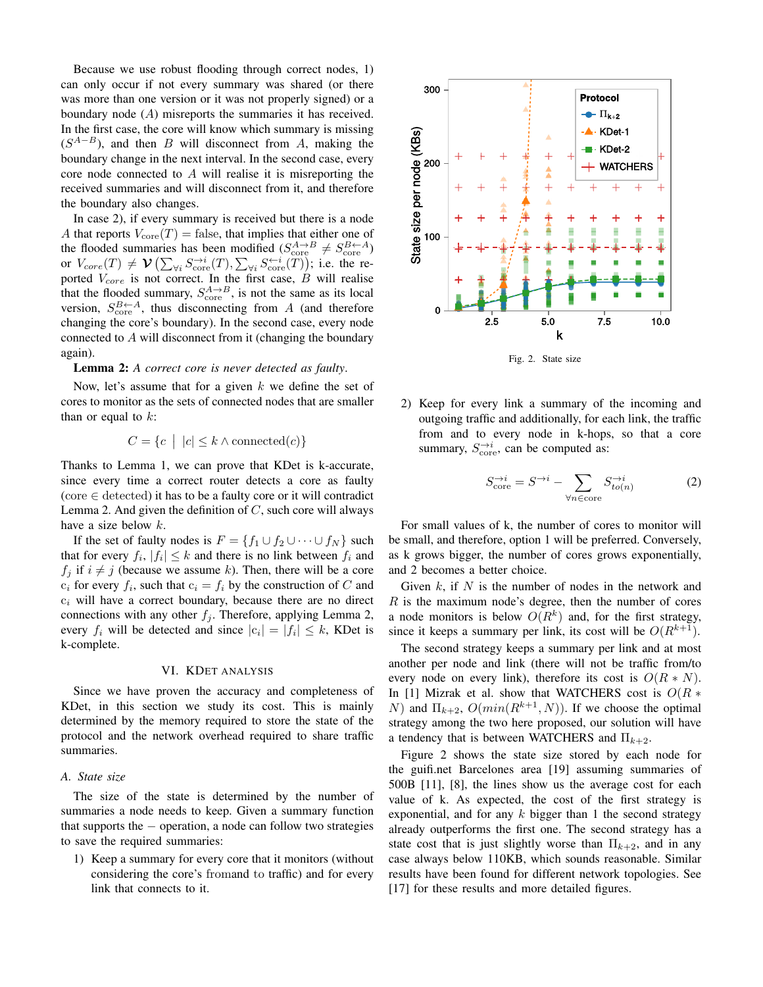Because we use robust flooding through correct nodes, 1) can only occur if not every summary was shared (or there was more than one version or it was not properly signed) or a boundary node (A) misreports the summaries it has received. In the first case, the core will know which summary is missing  $(S^{A-B})$ , and then B will disconnect from A, making the boundary change in the next interval. In the second case, every core node connected to A will realise it is misreporting the received summaries and will disconnect from it, and therefore the boundary also changes.

In case 2), if every summary is received but there is a node A that reports  $V_{\text{core}}(T) = \text{false}$ , that implies that either one of the flooded summaries has been modified  $(S_{\text{core}}^{A \to B} \neq S_{\text{core}}^{B \leftarrow A})$ or  $V_{core}(T) \neq \mathcal{V}\left(\sum_{\forall i} S_{\text{core}}^{\rightarrow i}(T), \sum_{\forall i} S_{\text{core}}^{\leftarrow i}(T)\right);$  i.e. the reported  $V_{core}$  is not correct. In the first case,  $B$  will realise that the flooded summary,  $S_{\text{core}}^{A \to B}$ , is not the same as its local version,  $S^B_{\text{core}}$ , thus disconnecting from A (and therefore changing the core's boundary). In the second case, every node connected to A will disconnect from it (changing the boundary again).

Lemma 2: *A correct core is never detected as faulty*.

Now, let's assume that for a given  $k$  we define the set of cores to monitor as the sets of connected nodes that are smaller than or equal to  $k$ :

$$
C = \{c \mid |c| \le k \land \text{connected}(c)\}
$$

Thanks to Lemma 1, we can prove that KDet is k-accurate, since every time a correct router detects a core as faulty  $(core \in detected)$  it has to be a faulty core or it will contradict Lemma 2. And given the definition of  $C$ , such core will always have a size below  $k$ .

If the set of faulty nodes is  $F = \{f_1 \cup f_2 \cup \cdots \cup f_N\}$  such that for every  $f_i$ ,  $|f_i| \leq k$  and there is no link between  $f_i$  and  $f_i$  if  $i \neq j$  (because we assume k). Then, there will be a core  $c_i$  for every  $f_i$ , such that  $c_i = f_i$  by the construction of C and  $c_i$  will have a correct boundary, because there are no direct connections with any other  $f_j$ . Therefore, applying Lemma 2, every  $f_i$  will be detected and since  $|c_i| = |f_i| \leq k$ , KDet is k-complete.

# VI. KDET ANALYSIS

<span id="page-5-0"></span>Since we have proven the accuracy and completeness of KDet, in this section we study its cost. This is mainly determined by the memory required to store the state of the protocol and the network overhead required to share traffic summaries.

#### *A. State size*

The size of the state is determined by the number of summaries a node needs to keep. Given a summary function that supports the − operation, a node can follow two strategies to save the required summaries:

1) Keep a summary for every core that it monitors (without considering the core's fromand to traffic) and for every link that connects to it.



<span id="page-5-1"></span>Fig. 2. State size

2) Keep for every link a summary of the incoming and outgoing traffic and additionally, for each link, the traffic from and to every node in k-hops, so that a core summary,  $S_{\text{core}}^{\rightarrow i}$ , can be computed as:

<span id="page-5-2"></span>
$$
S_{\text{core}}^{\rightarrow i} = S^{\rightarrow i} - \sum_{\forall n \in \text{core}} S_{to(n)}^{\rightarrow i}
$$
 (2)

For small values of k, the number of cores to monitor will be small, and therefore, option 1 will be preferred. Conversely, as k grows bigger, the number of cores grows exponentially, and 2 becomes a better choice.

Given  $k$ , if  $N$  is the number of nodes in the network and  $R$  is the maximum node's degree, then the number of cores a node monitors is below  $O(R^k)$  and, for the first strategy, since it keeps a summary per link, its cost will be  $O(R^{k+1})$ .

The second strategy keeps a summary per link and at most another per node and link (there will not be traffic from/to every node on every link), therefore its cost is  $O(R*N)$ . In [\[1\]](#page-7-0) Mizrak et al. show that WATCHERS cost is  $O(R \ast$ N) and  $\Pi_{k+2}$ ,  $O(min(R^{k+1}, N))$ . If we choose the optimal strategy among the two here proposed, our solution will have a tendency that is between WATCHERS and  $\Pi_{k+2}$ .

Figure [2](#page-5-1) shows the state size stored by each node for the guifi.net Barcelones area [\[19\]](#page-7-19) assuming summaries of 500B [\[11\]](#page-7-11), [\[8\]](#page-7-8), the lines show us the average cost for each value of k. As expected, the cost of the first strategy is exponential, and for any  $k$  bigger than 1 the second strategy already outperforms the first one. The second strategy has a state cost that is just slightly worse than  $\Pi_{k+2}$ , and in any case always below 110KB, which sounds reasonable. Similar results have been found for different network topologies. See [\[17\]](#page-7-17) for these results and more detailed figures.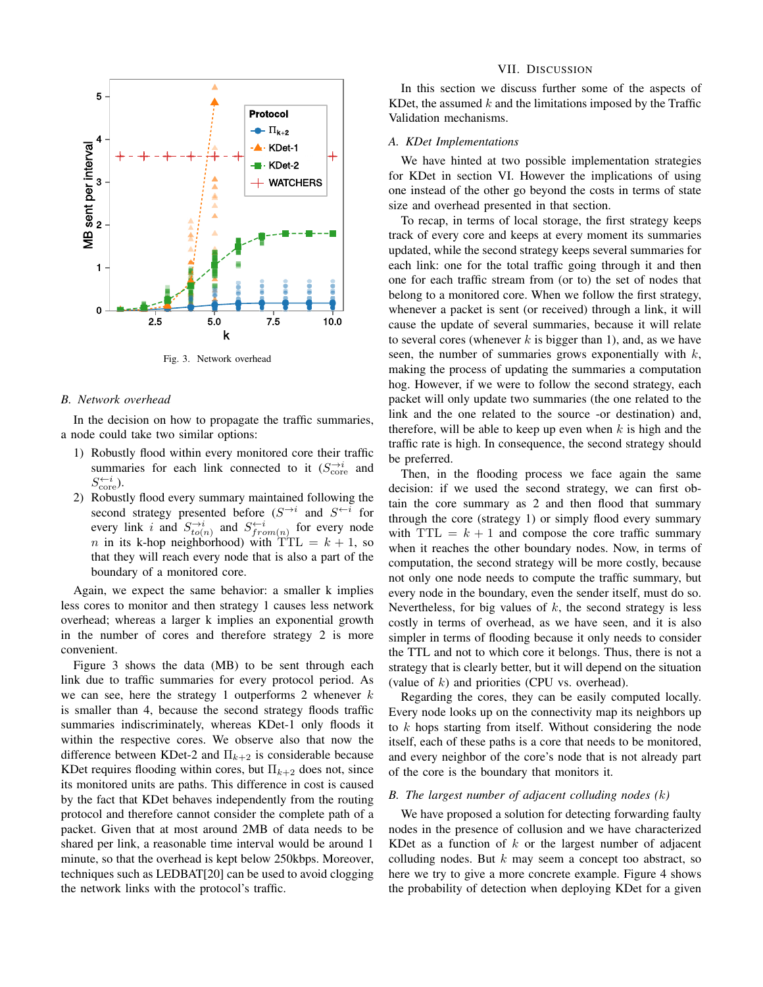

<span id="page-6-1"></span>Fig. 3. Network overhead

#### *B. Network overhead*

In the decision on how to propagate the traffic summaries, a node could take two similar options:

- 1) Robustly flood within every monitored core their traffic summaries for each link connected to it  $(S_{\text{core}}^{\rightarrow i}$  and  $S_{\rm core}^{\leftarrow i}$ ).
- 2) Robustly flood every summary maintained following the second strategy presented before  $(S^{\rightarrow i}$  and  $S^{\leftarrow i}$  for every link i and  $S_{to(n)}^{\rightarrow i}$  and  $S_{from(n)}^{\leftarrow i}$  for every node *n* in its k-hop neighborhood) with  $\text{TTL} = k + 1$ , so that they will reach every node that is also a part of the boundary of a monitored core.

Again, we expect the same behavior: a smaller k implies less cores to monitor and then strategy 1 causes less network overhead; whereas a larger k implies an exponential growth in the number of cores and therefore strategy 2 is more convenient.

Figure [3](#page-6-1) shows the data (MB) to be sent through each link due to traffic summaries for every protocol period. As we can see, here the strategy 1 outperforms 2 whenever  $k$ is smaller than 4, because the second strategy floods traffic summaries indiscriminately, whereas KDet-1 only floods it within the respective cores. We observe also that now the difference between KDet-2 and  $\Pi_{k+2}$  is considerable because KDet requires flooding within cores, but  $\Pi_{k+2}$  does not, since its monitored units are paths. This difference in cost is caused by the fact that KDet behaves independently from the routing protocol and therefore cannot consider the complete path of a packet. Given that at most around 2MB of data needs to be shared per link, a reasonable time interval would be around 1 minute, so that the overhead is kept below 250kbps. Moreover, techniques such as LEDBAT[\[20\]](#page-7-20) can be used to avoid clogging the network links with the protocol's traffic.

# VII. DISCUSSION

<span id="page-6-0"></span>In this section we discuss further some of the aspects of KDet, the assumed  $k$  and the limitations imposed by the Traffic Validation mechanisms.

# *A. KDet Implementations*

We have hinted at two possible implementation strategies for KDet in section [VI.](#page-5-0) However the implications of using one instead of the other go beyond the costs in terms of state size and overhead presented in that section.

To recap, in terms of local storage, the first strategy keeps track of every core and keeps at every moment its summaries updated, while the second strategy keeps several summaries for each link: one for the total traffic going through it and then one for each traffic stream from (or to) the set of nodes that belong to a monitored core. When we follow the first strategy, whenever a packet is sent (or received) through a link, it will cause the update of several summaries, because it will relate to several cores (whenever  $k$  is bigger than 1), and, as we have seen, the number of summaries grows exponentially with  $k$ , making the process of updating the summaries a computation hog. However, if we were to follow the second strategy, each packet will only update two summaries (the one related to the link and the one related to the source -or destination) and, therefore, will be able to keep up even when  $k$  is high and the traffic rate is high. In consequence, the second strategy should be preferred.

Then, in the flooding process we face again the same decision: if we used the second strategy, we can first obtain the core summary as [2](#page-5-2) and then flood that summary through the core (strategy 1) or simply flood every summary with  $TTL = k + 1$  and compose the core traffic summary when it reaches the other boundary nodes. Now, in terms of computation, the second strategy will be more costly, because not only one node needs to compute the traffic summary, but every node in the boundary, even the sender itself, must do so. Nevertheless, for big values of  $k$ , the second strategy is less costly in terms of overhead, as we have seen, and it is also simpler in terms of flooding because it only needs to consider the TTL and not to which core it belongs. Thus, there is not a strategy that is clearly better, but it will depend on the situation (value of  $k$ ) and priorities (CPU vs. overhead).

Regarding the cores, they can be easily computed locally. Every node looks up on the connectivity map its neighbors up to  $k$  hops starting from itself. Without considering the node itself, each of these paths is a core that needs to be monitored, and every neighbor of the core's node that is not already part of the core is the boundary that monitors it.

## *B. The largest number of adjacent colluding nodes (*k*)*

We have proposed a solution for detecting forwarding faulty nodes in the presence of collusion and we have characterized KDet as a function of  $k$  or the largest number of adjacent colluding nodes. But  $k$  may seem a concept too abstract, so here we try to give a more concrete example. Figure [4](#page-7-21) shows the probability of detection when deploying KDet for a given